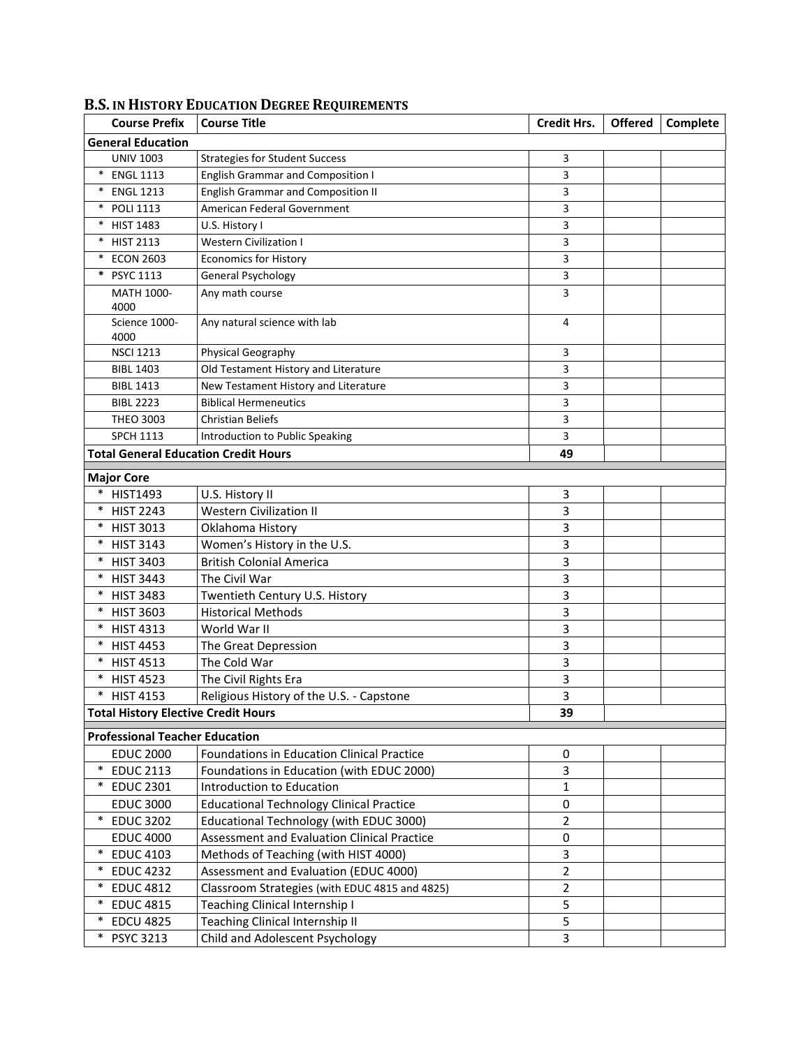| <b>Course Prefix</b>                        | <b>Course Title</b>                               | <b>Credit Hrs.</b> | <b>Offered</b> | Complete |
|---------------------------------------------|---------------------------------------------------|--------------------|----------------|----------|
| <b>General Education</b>                    |                                                   |                    |                |          |
| <b>UNIV 1003</b>                            | <b>Strategies for Student Success</b>             | 3                  |                |          |
| $\ast$<br><b>ENGL 1113</b>                  | <b>English Grammar and Composition I</b>          | 3                  |                |          |
| $\ast$<br><b>ENGL 1213</b>                  | <b>English Grammar and Composition II</b>         | 3                  |                |          |
| $\ast$<br><b>POLI 1113</b>                  | American Federal Government                       | 3                  |                |          |
| $\ast$<br><b>HIST 1483</b>                  | U.S. History I                                    | 3                  |                |          |
| $\ast$<br><b>HIST 2113</b>                  | <b>Western Civilization I</b>                     | 3                  |                |          |
| <b>ECON 2603</b>                            | <b>Economics for History</b>                      | 3                  |                |          |
| $\ast$<br>PSYC 1113                         | General Psychology                                | 3                  |                |          |
| MATH 1000-<br>4000                          | Any math course                                   | 3                  |                |          |
| Science 1000-<br>4000                       | Any natural science with lab                      | 4                  |                |          |
| <b>NSCI 1213</b>                            | Physical Geography                                | 3                  |                |          |
| <b>BIBL 1403</b>                            | Old Testament History and Literature              | 3                  |                |          |
| <b>BIBL 1413</b>                            | New Testament History and Literature              | 3                  |                |          |
| <b>BIBL 2223</b>                            | <b>Biblical Hermeneutics</b>                      | 3                  |                |          |
| <b>THEO 3003</b>                            | <b>Christian Beliefs</b>                          | 3                  |                |          |
| <b>SPCH 1113</b>                            | Introduction to Public Speaking                   | 3                  |                |          |
| <b>Total General Education Credit Hours</b> |                                                   | 49                 |                |          |
| <b>Major Core</b>                           |                                                   |                    |                |          |
| <b>HIST1493</b>                             | U.S. History II                                   | 3                  |                |          |
| $\ast$<br><b>HIST 2243</b>                  | <b>Western Civilization II</b>                    | 3                  |                |          |
| <b>HIST 3013</b><br>$\ast$                  | Oklahoma History                                  | 3                  |                |          |
| <b>HIST 3143</b><br>$\ast$                  | Women's History in the U.S.                       | 3                  |                |          |
| * HIST 3403                                 | <b>British Colonial America</b>                   | 3                  |                |          |
| * HIST 3443                                 | The Civil War                                     | 3                  |                |          |
| * HIST 3483                                 | Twentieth Century U.S. History                    | 3                  |                |          |
| * HIST 3603                                 | <b>Historical Methods</b>                         | 3                  |                |          |
| $\ast$<br><b>HIST 4313</b>                  | World War II                                      | 3                  |                |          |
| $\ast$<br><b>HIST 4453</b>                  | The Great Depression                              | 3                  |                |          |
| $\ast$<br><b>HIST 4513</b>                  | The Cold War                                      | 3                  |                |          |
| $\ast$<br><b>HIST 4523</b>                  | The Civil Rights Era                              | 3                  |                |          |
| $\ast$<br><b>HIST 4153</b>                  | Religious History of the U.S. - Capstone          | 3                  |                |          |
| <b>Total History Elective Credit Hours</b>  |                                                   | 39                 |                |          |
| <b>Professional Teacher Education</b>       |                                                   |                    |                |          |
| <b>EDUC 2000</b>                            | <b>Foundations in Education Clinical Practice</b> | 0                  |                |          |
| $\ast$<br><b>EDUC 2113</b>                  | Foundations in Education (with EDUC 2000)         | 3                  |                |          |
| $\ast$<br><b>EDUC 2301</b>                  | Introduction to Education                         | 1                  |                |          |
| <b>EDUC 3000</b>                            | <b>Educational Technology Clinical Practice</b>   | 0                  |                |          |
| <b>EDUC 3202</b><br>$\ast$                  | Educational Technology (with EDUC 3000)           | $\overline{2}$     |                |          |
| <b>EDUC 4000</b>                            | Assessment and Evaluation Clinical Practice       | 0                  |                |          |
| $\ast$<br><b>EDUC 4103</b>                  | Methods of Teaching (with HIST 4000)              | 3                  |                |          |
| <b>EDUC 4232</b><br>$\ast$                  | Assessment and Evaluation (EDUC 4000)             | $\overline{2}$     |                |          |
| <b>EDUC 4812</b><br>$\ast$                  | Classroom Strategies (with EDUC 4815 and 4825)    | $\overline{2}$     |                |          |
| <b>EDUC 4815</b><br>$\ast$                  |                                                   | 5                  |                |          |
| * EDCU 4825                                 | Teaching Clinical Internship I                    | 5                  |                |          |
|                                             | Teaching Clinical Internship II                   |                    |                |          |
| * PSYC 3213                                 | Child and Adolescent Psychology                   | 3                  |                |          |

## **B.S. IN HISTORY EDUCATION DEGREE REQUIREMENTS**